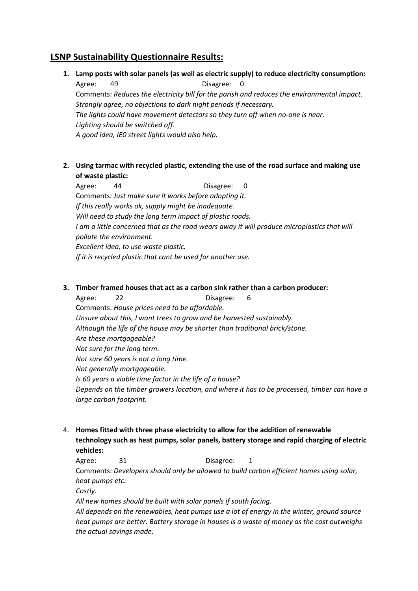## **LSNP Sustainability Questionnaire Results:**

**1. Lamp posts with solar panels (as well as electric supply) to reduce electricity consumption:**

Agree: 49 Disagree: 0 Comments: *Reduces the electricity bill for the parish and reduces the environmental impact. Strongly agree, no objections to dark night periods if necessary. The lights could have movement detectors so they turn off when no-one is near. Lighting should be switched off. A good idea, IE0 street lights would also help.*

**2. Using tarmac with recycled plastic, extending the use of the road surface and making use of waste plastic:**

Agree: 44 Disagree: 0 Comments*: Just make sure it works before adopting it. If this really works ok, supply might be inadequate. Will need to study the long term impact of plastic roads. I am a little concerned that as the road wears away it will produce microplastics that will pollute the environment. Excellent idea, to use waste plastic. If it is recycled plastic that cant be used for another use.*

## **3. Timber framed houses that act as a carbon sink rather than a carbon producer:**

Agree: 22 Disagree: 6 Comments: *House prices need to be affordable. Unsure about this, I want trees to grow and be harvested sustainably. Although the life of the house may be shorter than traditional brick/stone. Are these mortgageable? Not sure for the long term. Not sure 60 years is not a long time. Not generally mortgageable. Is 60 years a viable time factor in the life of a house? Depends on the timber growers location, and where it has to be processed, timber can have a large carbon footprint.*

4. **Homes fitted with three phase electricity to allow for the addition of renewable technology such as heat pumps, solar panels, battery storage and rapid charging of electric vehicles:**

Agree: 31 Disagree: 1 Comments: *Developers should only be allowed to build carbon efficient homes using solar, heat pumps etc. Costly. All new homes should be built with solar panels if south facing. All depends on the renewables, heat pumps use a lot of energy in the winter, ground source heat pumps are better. Battery storage in houses is a waste of money as the cost outweighs the actual savings made.*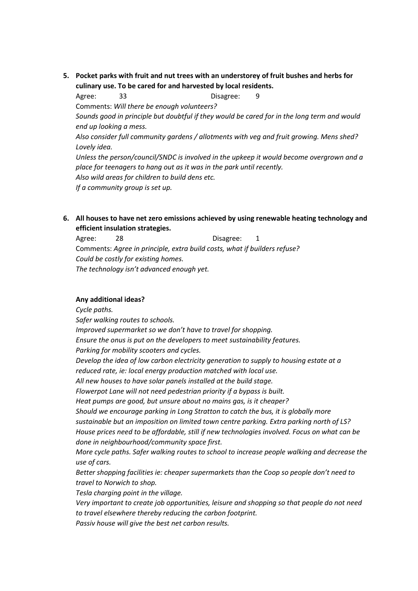**5. Pocket parks with fruit and nut trees with an understorey of fruit bushes and herbs for culinary use. To be cared for and harvested by local residents.**

Agree: 33 Disagree: 9 Comments: *Will there be enough volunteers? Sounds good in principle but doubtful if they would be cared for in the long term and would end up looking a mess. Also consider full community gardens / allotments with veg and fruit growing. Mens shed? Lovely idea. Unless the person/council/SNDC is involved in the upkeep it would become overgrown and a place for teenagers to hang out as it was in the park until recently. Also wild areas for children to build dens etc. If a community group is set up.*

**6. All houses to have net zero emissions achieved by using renewable heating technology and efficient insulation strategies.**

Agree: 28 Disagree: 1 Comments: *Agree in principle, extra build costs, what if builders refuse? Could be costly for existing homes. The technology isn't advanced enough yet.*

## **Any additional ideas?**

*Cycle paths.*

*Safer walking routes to schools.*

*Improved supermarket so we don't have to travel for shopping.*

*Ensure the onus is put on the developers to meet sustainability features.*

*Parking for mobility scooters and cycles.*

*Develop the idea of low carbon electricity generation to supply to housing estate at a reduced rate, ie: local energy production matched with local use.*

*All new houses to have solar panels installed at the build stage.*

*Flowerpot Lane will not need pedestrian priority if a bypass is built.*

*Heat pumps are good, but unsure about no mains gas, is it cheaper?*

*Should we encourage parking in Long Stratton to catch the bus, it is globally more sustainable but an imposition on limited town centre parking. Extra parking north of LS? House prices need to be affordable, still if new technologies involved. Focus on what can be done in neighbourhood/community space first.*

*More cycle paths. Safer walking routes to school to increase people walking and decrease the use of cars.*

*Better shopping facilities ie: cheaper supermarkets than the Coop so people don't need to travel to Norwich to shop.*

*Tesla charging point in the village.*

*Very important to create job opportunities, leisure and shopping so that people do not need to travel elsewhere thereby reducing the carbon footprint.*

*Passiv house will give the best net carbon results.*